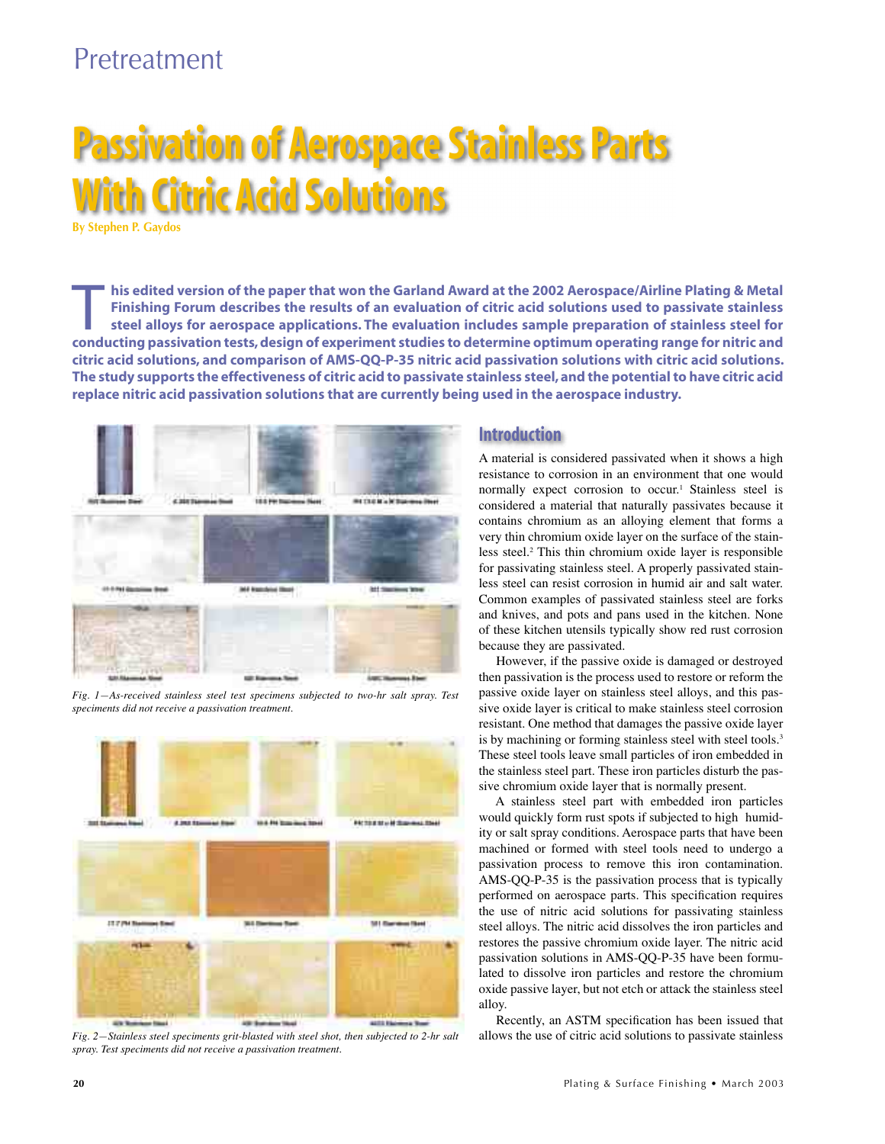# Pretreatment

# **Passivation of Aerospace Stainless Parts With Citric Acid Solutions**

**By Stephen P. Gaydos**

his edited version of the paper that won the Garland Award at the 2002 Aerospace/Airline Plating & Metal<br>Finishing Forum describes the results of an evaluation of citric acid solutions used to passivate stainless<br>steel all **Finishing Forum describes the results of an evaluation of citric acid solutions used to passivate stainless conducting passivation tests, design of experiment studies to determine optimum operating range for nitric and citric acid solutions, and comparison of AMS-QQ-P-35 nitric acid passivation solutions with citric acid solutions. The study supports the effectiveness of citric acid to passivate stainless steel, and the potential to have citric acid replace nitric acid passivation solutions that are currently being used in the aerospace industry.** 



*Fig. 1—As-received stainless steel test specimens subjected to two-hr salt spray. Test speciments did not receive a passivation treatment.*



*Fig. 2—Stainless steel speciments grit-blasted with steel shot, then subjected to 2-hr salt spray. Test speciments did not receive a passivation treatment.*

### **Introduction**

A material is considered passivated when it shows a high resistance to corrosion in an environment that one would normally expect corrosion to occur.1 Stainless steel is considered a material that naturally passivates because it contains chromium as an alloying element that forms a very thin chromium oxide layer on the surface of the stainless steel.2 This thin chromium oxide layer is responsible for passivating stainless steel. A properly passivated stainless steel can resist corrosion in humid air and salt water. Common examples of passivated stainless steel are forks and knives, and pots and pans used in the kitchen. None of these kitchen utensils typically show red rust corrosion because they are passivated.

However, if the passive oxide is damaged or destroyed then passivation is the process used to restore or reform the passive oxide layer on stainless steel alloys, and this passive oxide layer is critical to make stainless steel corrosion resistant. One method that damages the passive oxide layer is by machining or forming stainless steel with steel tools.<sup>3</sup> These steel tools leave small particles of iron embedded in the stainless steel part. These iron particles disturb the passive chromium oxide layer that is normally present.

A stainless steel part with embedded iron particles would quickly form rust spots if subjected to high humidity or salt spray conditions. Aerospace parts that have been machined or formed with steel tools need to undergo a passivation process to remove this iron contamination. AMS-QQ-P-35 is the passivation process that is typically performed on aerospace parts. This specification requires the use of nitric acid solutions for passivating stainless steel alloys. The nitric acid dissolves the iron particles and restores the passive chromium oxide layer. The nitric acid passivation solutions in AMS-QQ-P-35 have been formulated to dissolve iron particles and restore the chromium oxide passive layer, but not etch or attack the stainless steel alloy.

Recently, an ASTM specification has been issued that allows the use of citric acid solutions to passivate stainless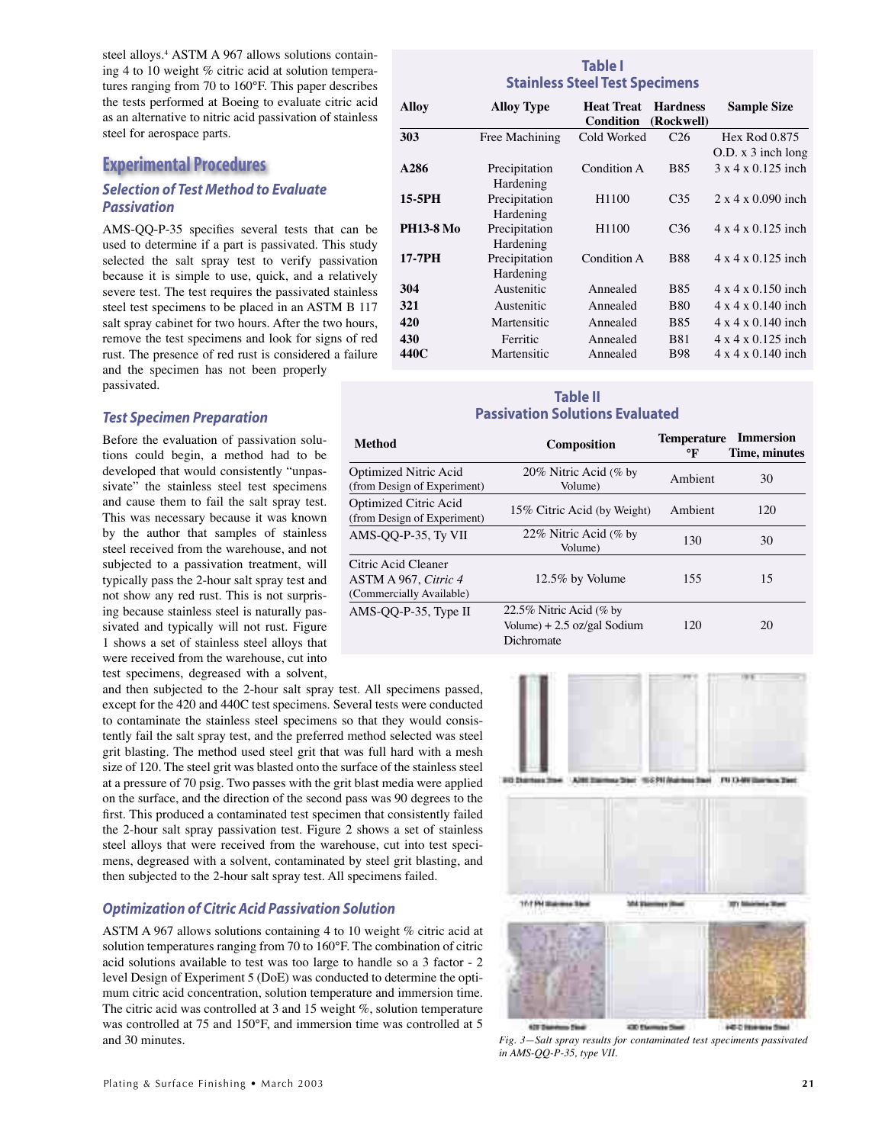steel alloys.<sup>4</sup> ASTM A 967 allows solutions containing 4 to 10 weight % citric acid at solution temperatures ranging from 70 to 160°F. This paper describes the tests performed at Boeing to evaluate citric acid as an alternative to nitric acid passivation of stainless steel for aerospace parts.

## **Experimental Procedures**

#### *Selection of Test Method to Evaluate Passivation*

AMS-QQ-P-35 specifies several tests that can be used to determine if a part is passivated. This study selected the salt spray test to verify passivation because it is simple to use, quick, and a relatively severe test. The test requires the passivated stainless steel test specimens to be placed in an ASTM B 117 salt spray cabinet for two hours. After the two hours, remove the test specimens and look for signs of red rust. The presence of red rust is considered a failure and the specimen has not been properly passivated.

#### *Test Specimen Preparation*

Before the evaluation of passivation solutions could begin, a method had to be developed that would consistently "unpassivate" the stainless steel test specimens and cause them to fail the salt spray test. This was necessary because it was known by the author that samples of stainless steel received from the warehouse, and not subjected to a passivation treatment, will typically pass the 2-hour salt spray test and not show any red rust. This is not surprising because stainless steel is naturally passivated and typically will not rust. Figure 1 shows a set of stainless steel alloys that were received from the warehouse, cut into test specimens, degreased with a solvent,

and then subjected to the 2-hour salt spray test. All specimens passed, except for the 420 and 440C test specimens. Several tests were conducted to contaminate the stainless steel specimens so that they would consistently fail the salt spray test, and the preferred method selected was steel grit blasting. The method used steel grit that was full hard with a mesh size of 120. The steel grit was blasted onto the surface of the stainless steel at a pressure of 70 psig. Two passes with the grit blast media were applied on the surface, and the direction of the second pass was 90 degrees to the first. This produced a contaminated test specimen that consistently failed the 2-hour salt spray passivation test. Figure 2 shows a set of stainless steel alloys that were received from the warehouse, cut into test specimens, degreased with a solvent, contaminated by steel grit blasting, and then subjected to the 2-hour salt spray test. All specimens failed.

#### *Optimization of Citric Acid Passivation Solution*

ASTM A 967 allows solutions containing 4 to 10 weight % citric acid at solution temperatures ranging from 70 to 160°F. The combination of citric acid solutions available to test was too large to handle so a 3 factor - 2 level Design of Experiment 5 (DoE) was conducted to determine the optimum citric acid concentration, solution temperature and immersion time. The citric acid was controlled at 3 and 15 weight %, solution temperature was controlled at 75 and 150°F, and immersion time was controlled at 5 and 30 minutes.

#### **Table I Stainless Steel Test Specimens**

| <b>Alloy</b>     | <b>Alloy Type</b> | <b>Heat Treat</b><br>Condition | <b>Hardness</b><br>(Rockwell) | <b>Sample Size</b>             |
|------------------|-------------------|--------------------------------|-------------------------------|--------------------------------|
| 303              | Free Machining    | Cold Worked                    | C <sub>26</sub>               | Hex Rod 0.875                  |
|                  |                   |                                |                               | $O.D. x 3$ inch long           |
| A286             | Precipitation     | Condition A                    | <b>B85</b>                    | $3 \times 4 \times 0.125$ inch |
|                  | Hardening         |                                |                               |                                |
| 15-5PH           | Precipitation     | H <sub>1100</sub>              | C <sub>35</sub>               | $2 \times 4 \times 0.090$ inch |
|                  | Hardening         |                                |                               |                                |
| <b>PH13-8 Mo</b> | Precipitation     | H <sub>1100</sub>              | C <sub>36</sub>               | $4 \times 4 \times 0.125$ inch |
|                  | Hardening         |                                |                               |                                |
| 17-7PH           | Precipitation     | Condition A                    | <b>B88</b>                    | $4 \times 4 \times 0.125$ inch |
|                  | Hardening         |                                |                               |                                |
| 304              | Austenitic        | Annealed                       | <b>B85</b>                    | $4 \times 4 \times 0.150$ inch |
| 321              | Austenitic        | Annealed                       | <b>B80</b>                    | $4 \times 4 \times 0.140$ inch |
| 420              | Martensitic       | Annealed                       | <b>B85</b>                    | $4 \times 4 \times 0.140$ inch |
| 430              | Ferritic          | Annealed                       | <b>B81</b>                    | $4 \times 4 \times 0.125$ inch |
| 440C             | Martensitic       | Annealed                       | <b>B98</b>                    | $4 \times 4 \times 0.140$ inch |

# **Table II Passivation Solutions Evaluated**

| <b>Method</b>                                                                  | <b>Composition</b>                                                     | <b>Temperature</b><br>°F | <b>Immersion</b><br>Time, minutes |
|--------------------------------------------------------------------------------|------------------------------------------------------------------------|--------------------------|-----------------------------------|
| Optimized Nitric Acid<br>(from Design of Experiment)                           | 20% Nitric Acid (% by<br>Volume)                                       | Ambient                  | 30                                |
| Optimized Citric Acid<br>(from Design of Experiment)                           | 15% Citric Acid (by Weight)                                            | Ambient                  | 120                               |
| AMS-OO-P-35, Ty VII                                                            | 22% Nitric Acid (% by<br>Volume)                                       | 130                      | 30                                |
| Citric Acid Cleaner<br>ASTM A 967, <i>Citric 4</i><br>(Commercially Available) | 12.5% by Volume                                                        | 155                      | 15                                |
| AMS-OO-P-35, Type II                                                           | 22.5% Nitric Acid (% by<br>Volume) + $2.5$ oz/gal Sodium<br>Dichromate | 120                      | 20                                |



10-T PM State



428.04 430 Element Stat **ACC REMAINS OF** tom Final *Fig. 3—Salt spray results for contaminated test speciments passivated in AMS-QQ-P-35, type VII.*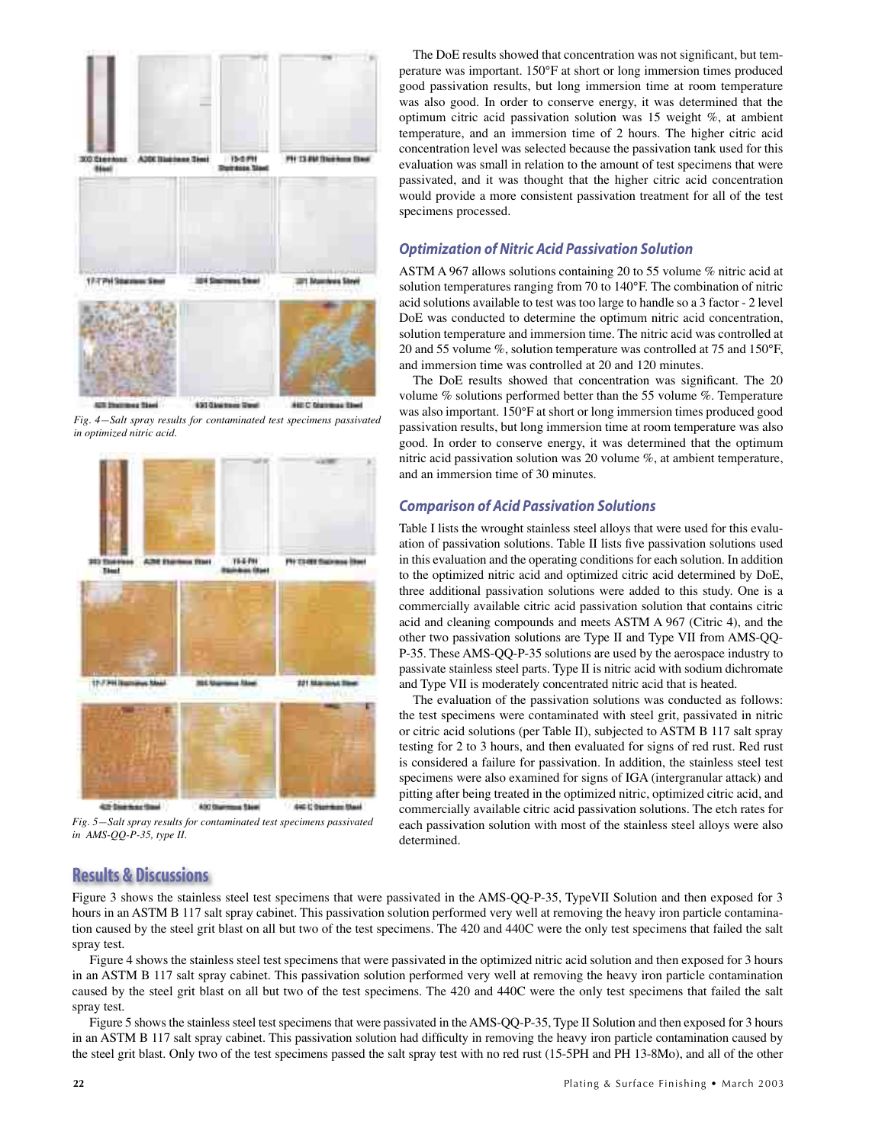





*Fig. 5—Salt spray results for contaminated test specimens passivated in AMS-QQ-P-35, type II.*

The DoE results showed that concentration was not significant, but temperature was important. 150°F at short or long immersion times produced good passivation results, but long immersion time at room temperature was also good. In order to conserve energy, it was determined that the optimum citric acid passivation solution was 15 weight %, at ambient temperature, and an immersion time of 2 hours. The higher citric acid concentration level was selected because the passivation tank used for this evaluation was small in relation to the amount of test specimens that were passivated, and it was thought that the higher citric acid concentration would provide a more consistent passivation treatment for all of the test specimens processed.

#### *Optimization of Nitric Acid Passivation Solution*

ASTM A 967 allows solutions containing 20 to 55 volume % nitric acid at solution temperatures ranging from 70 to 140°F. The combination of nitric acid solutions available to test was too large to handle so a 3 factor - 2 level DoE was conducted to determine the optimum nitric acid concentration, solution temperature and immersion time. The nitric acid was controlled at 20 and 55 volume %, solution temperature was controlled at 75 and 150°F, and immersion time was controlled at 20 and 120 minutes.

The DoE results showed that concentration was significant. The 20 volume % solutions performed better than the 55 volume %. Temperature was also important. 150°F at short or long immersion times produced good passivation results, but long immersion time at room temperature was also good. In order to conserve energy, it was determined that the optimum nitric acid passivation solution was 20 volume %, at ambient temperature, and an immersion time of 30 minutes.

#### *Comparison of Acid Passivation Solutions*

Table I lists the wrought stainless steel alloys that were used for this evaluation of passivation solutions. Table II lists five passivation solutions used in this evaluation and the operating conditions for each solution. In addition to the optimized nitric acid and optimized citric acid determined by DoE, three additional passivation solutions were added to this study. One is a commercially available citric acid passivation solution that contains citric acid and cleaning compounds and meets ASTM A 967 (Citric 4), and the other two passivation solutions are Type II and Type VII from AMS-QQ-P-35. These AMS-QQ-P-35 solutions are used by the aerospace industry to passivate stainless steel parts. Type II is nitric acid with sodium dichromate and Type VII is moderately concentrated nitric acid that is heated.

The evaluation of the passivation solutions was conducted as follows: the test specimens were contaminated with steel grit, passivated in nitric or citric acid solutions (per Table II), subjected to ASTM B 117 salt spray testing for 2 to 3 hours, and then evaluated for signs of red rust. Red rust is considered a failure for passivation. In addition, the stainless steel test specimens were also examined for signs of IGA (intergranular attack) and pitting after being treated in the optimized nitric, optimized citric acid, and commercially available citric acid passivation solutions. The etch rates for each passivation solution with most of the stainless steel alloys were also determined.

# **Results & Discussions**

Figure 3 shows the stainless steel test specimens that were passivated in the AMS-QQ-P-35, TypeVII Solution and then exposed for 3 hours in an ASTM B 117 salt spray cabinet. This passivation solution performed very well at removing the heavy iron particle contamination caused by the steel grit blast on all but two of the test specimens. The 420 and 440C were the only test specimens that failed the salt spray test.

Figure 4 shows the stainless steel test specimens that were passivated in the optimized nitric acid solution and then exposed for 3 hours in an ASTM B 117 salt spray cabinet. This passivation solution performed very well at removing the heavy iron particle contamination caused by the steel grit blast on all but two of the test specimens. The 420 and 440C were the only test specimens that failed the salt spray test.

Figure 5 shows the stainless steel test specimens that were passivated in the AMS-QQ-P-35, Type II Solution and then exposed for 3 hours in an ASTM B 117 salt spray cabinet. This passivation solution had difficulty in removing the heavy iron particle contamination caused by the steel grit blast. Only two of the test specimens passed the salt spray test with no red rust (15-5PH and PH 13-8Mo), and all of the other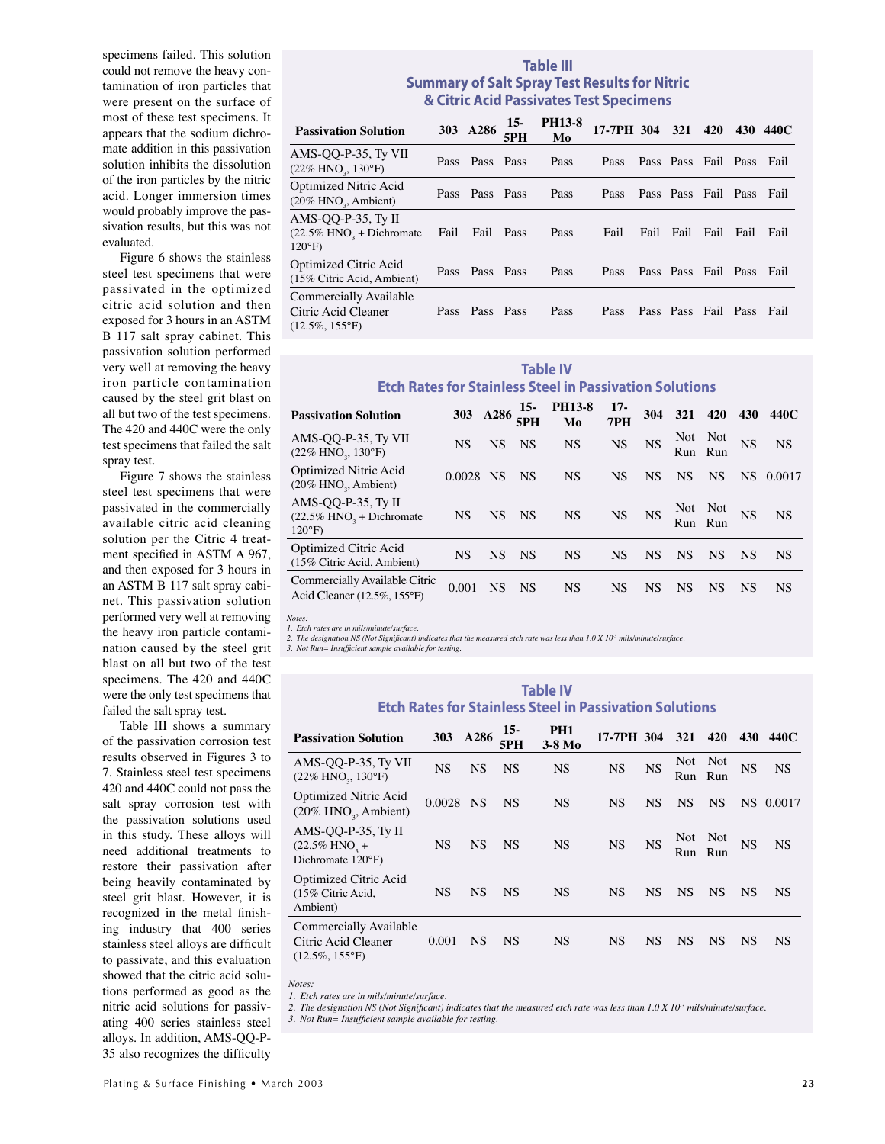specimens failed. This solution could not remove the heavy contamination of iron particles that were present on the surface of most of these test specimens. It appears that the sodium dichromate addition in this passivation solution inhibits the dissolution of the iron particles by the nitric acid. Longer immersion times would probably improve the passivation results, but this was not evaluated.

Figure 6 shows the stainless steel test specimens that were passivated in the optimized citric acid solution and then exposed for 3 hours in an ASTM B 117 salt spray cabinet. This passivation solution performed very well at removing the heavy iron particle contamination caused by the steel grit blast on all but two of the test specimens. The 420 and 440C were the only test specimens that failed the salt spray test.

Figure 7 shows the stainless steel test specimens that were passivated in the commercially available citric acid cleaning solution per the Citric 4 treatment specified in ASTM A 967, and then exposed for 3 hours in an ASTM B 117 salt spray cabinet. This passivation solution performed very well at removing the heavy iron particle contamination caused by the steel grit blast on all but two of the test specimens. The 420 and 440C were the only test specimens that failed the salt spray test.

Table III shows a summary of the passivation corrosion test results observed in Figures 3 to 7. Stainless steel test specimens 420 and 440C could not pass the salt spray corrosion test with the passivation solutions used in this study. These alloys will need additional treatments to restore their passivation after being heavily contaminated by steel grit blast. However, it is recognized in the metal finishing industry that 400 series stainless steel alloys are difficult to passivate, and this evaluation showed that the citric acid solutions performed as good as the nitric acid solutions for passivating 400 series stainless steel alloys. In addition, AMS-QQ-P-35 also recognizes the difficulty

## **Table III Summary of Salt Spray Test Results for Nitric & Citric Acid Passivates Test Specimens**

| <b>Passivation Solution</b>                                                     |      | 303 A286       | $15-$<br>5PH | <b>PH13-8</b><br>Mo | 17-7PH 304 321 420 430 440C |      |                          |      |        |
|---------------------------------------------------------------------------------|------|----------------|--------------|---------------------|-----------------------------|------|--------------------------|------|--------|
| AMS-OO-P-35, Ty VII<br>$(22\% \text{ HNO}_3, 130\degree \text{F})$              |      | Pass Pass Pass |              | Pass                | <b>Pass</b>                 |      | Pass Pass Fail Pass      |      | - Fail |
| <b>Optimized Nitric Acid</b><br>$(20\%$ HNO <sub>2</sub> , Ambient)             |      | Pass Pass Pass |              | Pass                | <b>Pass</b>                 |      | Pass Pass Fail Pass      |      | - Fail |
| AMS-QQ-P-35, Ty II<br>$(22.5\%$ HNO <sub>3</sub> + Dichromate<br>$120^{\circ}F$ | Fail | Fail Pass      |              | Pass                | Fail                        | Fail | Fail Fail                | Fail | Fail   |
| Optimized Citric Acid<br>(15% Citric Acid, Ambient)                             |      | Pass Pass Pass |              | Pass                | <b>Pass</b>                 |      | Pass Pass Fail Pass Fail |      |        |
| Commercially Available<br>Citric Acid Cleaner<br>$(12.5\%, 155^{\circ}F)$       |      | Pass Pass Pass |              | Pass                | <b>Pass</b>                 |      | Pass Pass Fail Pass Fail |      |        |

#### **Table IV Etch Rates for Stainless Steel in Passivation Solutions**

| <b>Passivation Solution</b>                                                     |             | 303 A286  | $15-$<br>5PH | <b>PH13-8</b><br>Mo | $17 -$<br>7PH | 304       | 321       | 420            | 430       | 440C      |
|---------------------------------------------------------------------------------|-------------|-----------|--------------|---------------------|---------------|-----------|-----------|----------------|-----------|-----------|
| AMS-QQ-P-35, Ty VII<br>$(22\%$ HNO <sub>2</sub> , $130^{\circ}$ F)              | <b>NS</b>   | <b>NS</b> | <b>NS</b>    | <b>NS</b>           | <b>NS</b>     | <b>NS</b> | Run       | Not Not<br>Run | <b>NS</b> | <b>NS</b> |
| Optimized Nitric Acid<br>$(20\%$ HNO <sub>2</sub> , Ambient)                    | $0.0028$ NS |           | <b>NS</b>    | <b>NS</b>           | <b>NS</b>     | <b>NS</b> | <b>NS</b> | <b>NS</b>      | <b>NS</b> | 0.0017    |
| AMS-QQ-P-35, Ty II<br>$(22.5\%$ HNO <sub>3</sub> + Dichromate<br>$120^{\circ}F$ | <b>NS</b>   | <b>NS</b> | <b>NS</b>    | <b>NS</b>           | <b>NS</b>     | <b>NS</b> | Run Run   | Not Not        | <b>NS</b> | <b>NS</b> |
| Optimized Citric Acid<br>(15% Citric Acid, Ambient)                             | <b>NS</b>   | <b>NS</b> | <b>NS</b>    | <b>NS</b>           | <b>NS</b>     | <b>NS</b> | <b>NS</b> | <b>NS</b>      | <b>NS</b> | <b>NS</b> |
| Commercially Available Citric<br>Acid Cleaner (12.5%, 155°F)                    | 0.001       | <b>NS</b> | <b>NS</b>    | <b>NS</b>           | <b>NS</b>     | NS        | <b>NS</b> | <b>NS</b>      | <b>NS</b> | <b>NS</b> |

*Notes: 1. Etch rates are in mils/minute/surface.*

2. The designation NS (Not Significant) indicates that the measured etch rate was less than 1.0 X 10<sup>.3</sup> mils/minute/surface.<br>3. Not Run= Insufficient sample available for testing.

#### **Table IV Etch Rates for Stainless Steel in Passivation Solutions**

| <b>Passivation Solution</b>                                               | 303       | A286      | 15-<br>5PH | PH <sub>1</sub><br>$3-8$ Mo | 17-7PH 304 |           | <b>321</b> | 420        | 430       | 440C      |
|---------------------------------------------------------------------------|-----------|-----------|------------|-----------------------------|------------|-----------|------------|------------|-----------|-----------|
| AMS-QQ-P-35, Ty VII<br>$(22\%$ HNO <sub>2</sub> , 130°F)                  | <b>NS</b> | <b>NS</b> | <b>NS</b>  | <b>NS</b>                   | <b>NS</b>  | <b>NS</b> | Not<br>Run | Not<br>Run | <b>NS</b> | <b>NS</b> |
| <b>Optimized Nitric Acid</b><br>$(20\%$ HNO <sub>2</sub> , Ambient)       | 0.0028    | <b>NS</b> | <b>NS</b>  | <b>NS</b>                   | <b>NS</b>  | <b>NS</b> | <b>NS</b>  | <b>NS</b>  |           | NS 0.0017 |
| AMS-QQ-P-35, Ty II<br>$(22.5\%$ HNO <sub>3</sub> +<br>Dichromate 120°F)   | <b>NS</b> | <b>NS</b> | <b>NS</b>  | <b>NS</b>                   | <b>NS</b>  | <b>NS</b> | Not<br>Run | Not<br>Run | <b>NS</b> | <b>NS</b> |
| Optimized Citric Acid<br>(15% Citric Acid,<br>Ambient)                    | <b>NS</b> | <b>NS</b> | <b>NS</b>  | <b>NS</b>                   | <b>NS</b>  | <b>NS</b> | <b>NS</b>  | <b>NS</b>  | <b>NS</b> | <b>NS</b> |
| Commercially Available<br>Citric Acid Cleaner<br>$(12.5\%, 155^{\circ}F)$ | 0.001     | <b>NS</b> | <b>NS</b>  | <b>NS</b>                   | <b>NS</b>  | <b>NS</b> | <b>NS</b>  | <b>NS</b>  | <b>NS</b> | <b>NS</b> |

*Notes:*

*1. Etch rates are in mils/minute/surface.*

2. The designation NS (Not Significant) indicates that the measured etch rate was less than 1.0 X 10<sup>-3</sup> mils/minute/surface.

3. Not Run= Insufficient sample available for testing.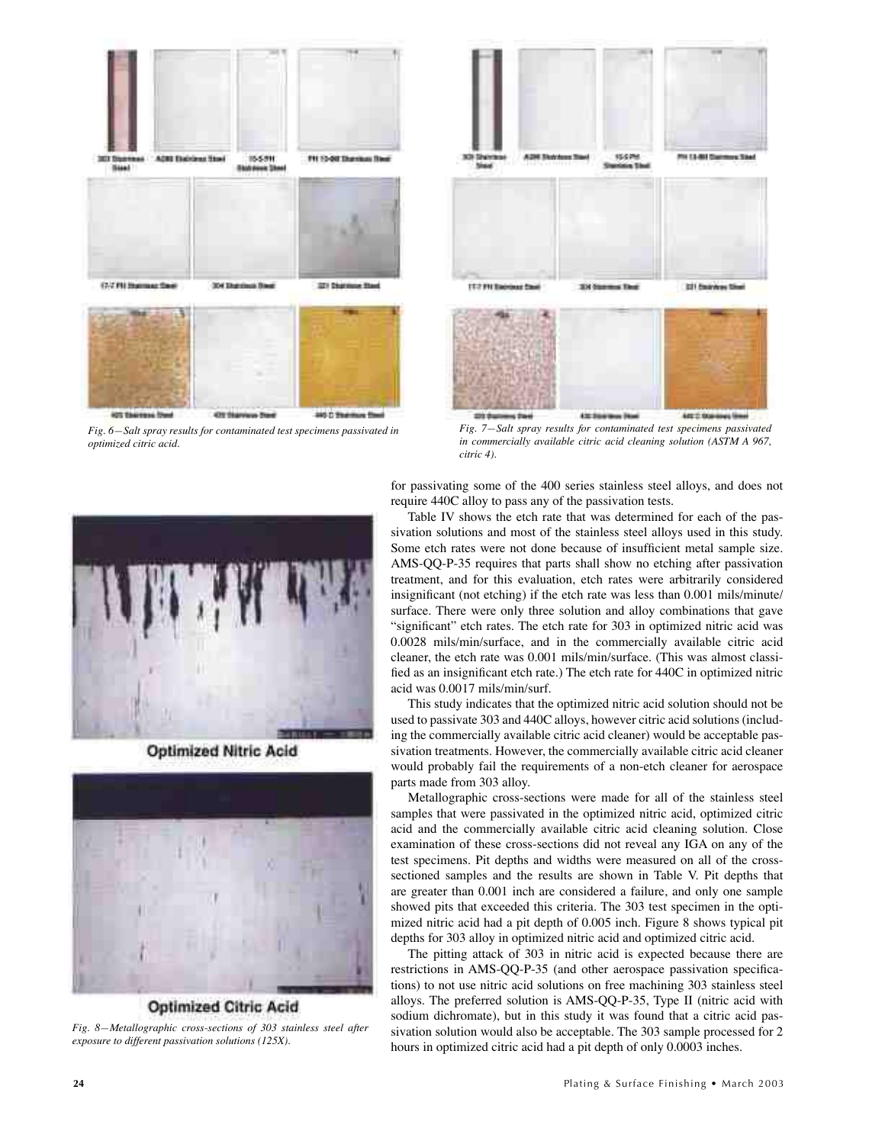

*Fig. 6—Salt spray results for contaminated test specimens passivated in optimized citric acid.*



*Fig. 7—Salt spray results for contaminated test specimens passivated in commercially available citric acid cleaning solution (ASTM A 967, citric 4).*



**Optimized Nitric Acid** 



**Optimized Citric Acid** *Fig. 8—Metallographic cross-sections of 303 stainless steel after exposure to different passivation solutions (125X).*

for passivating some of the 400 series stainless steel alloys, and does not require 440C alloy to pass any of the passivation tests.

Table IV shows the etch rate that was determined for each of the passivation solutions and most of the stainless steel alloys used in this study. Some etch rates were not done because of insufficient metal sample size. AMS-QQ-P-35 requires that parts shall show no etching after passivation treatment, and for this evaluation, etch rates were arbitrarily considered insignificant (not etching) if the etch rate was less than 0.001 mils/minute/ surface. There were only three solution and alloy combinations that gave "significant" etch rates. The etch rate for 303 in optimized nitric acid was 0.0028 mils/min/surface, and in the commercially available citric acid cleaner, the etch rate was 0.001 mils/min/surface. (This was almost classified as an insignificant etch rate.) The etch rate for 440C in optimized nitric acid was 0.0017 mils/min/surf.

This study indicates that the optimized nitric acid solution should not be used to passivate 303 and 440C alloys, however citric acid solutions (including the commercially available citric acid cleaner) would be acceptable passivation treatments. However, the commercially available citric acid cleaner would probably fail the requirements of a non-etch cleaner for aerospace parts made from 303 alloy.

Metallographic cross-sections were made for all of the stainless steel samples that were passivated in the optimized nitric acid, optimized citric acid and the commercially available citric acid cleaning solution. Close examination of these cross-sections did not reveal any IGA on any of the test specimens. Pit depths and widths were measured on all of the crosssectioned samples and the results are shown in Table V. Pit depths that are greater than 0.001 inch are considered a failure, and only one sample showed pits that exceeded this criteria. The 303 test specimen in the optimized nitric acid had a pit depth of 0.005 inch. Figure 8 shows typical pit depths for 303 alloy in optimized nitric acid and optimized citric acid.

The pitting attack of 303 in nitric acid is expected because there are restrictions in AMS-QQ-P-35 (and other aerospace passivation specifications) to not use nitric acid solutions on free machining 303 stainless steel alloys. The preferred solution is AMS-QQ-P-35, Type II (nitric acid with sodium dichromate), but in this study it was found that a citric acid passivation solution would also be acceptable. The 303 sample processed for 2 hours in optimized citric acid had a pit depth of only 0.0003 inches.